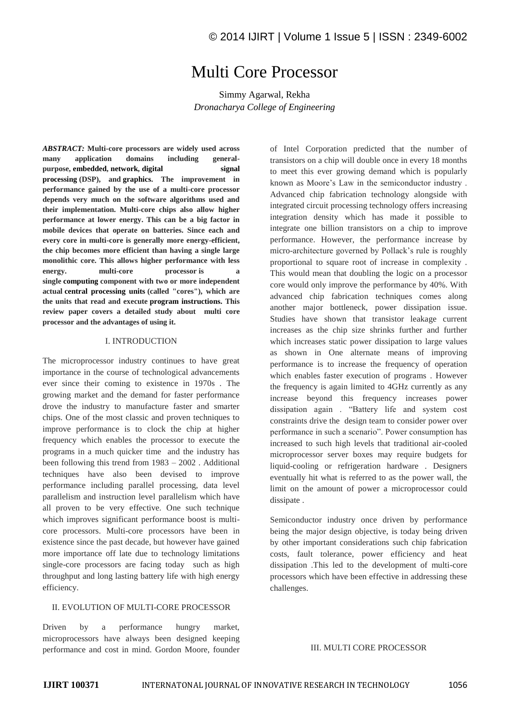# Multi Core Processor

Simmy Agarwal, Rekha *Dronacharya College of Engineering* 

*ABSTRACT:* **Multi-core processors are widely used across many application domains including generalpurpose, embedded, network, digital signal processing (DSP), and graphics. The improvement in performance gained by the use of a multi-core processor depends very much on the software algorithms used and their implementation. Multi-core chips also allow higher performance at lower energy. This can be a big factor in mobile devices that operate on batteries. Since each and every core in multi-core is generally more energy-efficient, the chip becomes more efficient than having a single large monolithic core. This allows higher performance with less energy. multi-core processor is a single computing component with two or more independent actual central processing units (called "cores"), which are the units that read and execute program instructions. This review paper covers a detailed study about multi core processor and the advantages of using it.**

#### I. INTRODUCTION

The microprocessor industry continues to have great importance in the course of technological advancements ever since their coming to existence in 1970s . The growing market and the demand for faster performance drove the industry to manufacture faster and smarter chips. One of the most classic and proven techniques to improve performance is to clock the chip at higher frequency which enables the processor to execute the programs in a much quicker time and the industry has been following this trend from 1983 – 2002 . Additional techniques have also been devised to improve performance including parallel processing, data level parallelism and instruction level parallelism which have all proven to be very effective. One such technique which improves significant performance boost is multicore processors. Multi-core processors have been in existence since the past decade, but however have gained more importance off late due to technology limitations single-core processors are facing today such as high throughput and long lasting battery life with high energy efficiency.

# II. EVOLUTION OF MULTI-CORE PROCESSOR

Driven by a performance hungry market, microprocessors have always been designed keeping performance and cost in mind. Gordon Moore, founder of Intel Corporation predicted that the number of transistors on a chip will double once in every 18 months to meet this ever growing demand which is popularly known as Moore's Law in the semiconductor industry . Advanced chip fabrication technology alongside with integrated circuit processing technology offers increasing integration density which has made it possible to integrate one billion transistors on a chip to improve performance. However, the performance increase by micro-architecture governed by Pollack's rule is roughly proportional to square root of increase in complexity . This would mean that doubling the logic on a processor core would only improve the performance by 40%. With advanced chip fabrication techniques comes along another major bottleneck, power dissipation issue. Studies have shown that transistor leakage current increases as the chip size shrinks further and further which increases static power dissipation to large values as shown in One alternate means of improving performance is to increase the frequency of operation which enables faster execution of programs . However the frequency is again limited to 4GHz currently as any increase beyond this frequency increases power dissipation again . "Battery life and system cost constraints drive the design team to consider power over performance in such a scenario". Power consumption has increased to such high levels that traditional air-cooled microprocessor server boxes may require budgets for liquid-cooling or refrigeration hardware . Designers eventually hit what is referred to as the power wall, the limit on the amount of power a microprocessor could dissipate .

Semiconductor industry once driven by performance being the major design objective, is today being driven by other important considerations such chip fabrication costs, fault tolerance, power efficiency and heat dissipation .This led to the development of multi-core processors which have been effective in addressing these challenges.

III. MULTI CORE PROCESSOR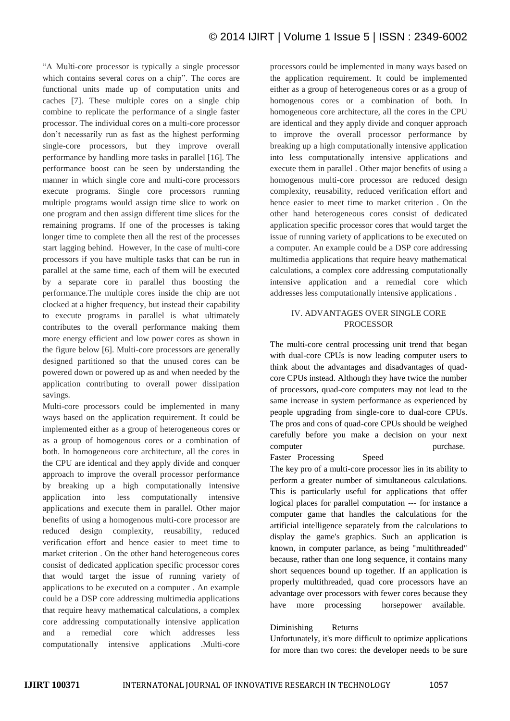"A Multi-core processor is typically a single processor which contains several cores on a chip". The cores are functional units made up of computation units and caches [7]. These multiple cores on a single chip combine to replicate the performance of a single faster processor. The individual cores on a multi-core processor don't necessarily run as fast as the highest performing single-core processors, but they improve overall performance by handling more tasks in parallel [16]. The performance boost can be seen by understanding the manner in which single core and multi-core processors execute programs. Single core processors running multiple programs would assign time slice to work on one program and then assign different time slices for the remaining programs. If one of the processes is taking longer time to complete then all the rest of the processes start lagging behind. However, In the case of multi-core processors if you have multiple tasks that can be run in parallel at the same time, each of them will be executed by a separate core in parallel thus boosting the performance.The multiple cores inside the chip are not clocked at a higher frequency, but instead their capability to execute programs in parallel is what ultimately contributes to the overall performance making them more energy efficient and low power cores as shown in the figure below [6]. Multi-core processors are generally designed partitioned so that the unused cores can be powered down or powered up as and when needed by the application contributing to overall power dissipation savings.

Multi-core processors could be implemented in many ways based on the application requirement. It could be implemented either as a group of heterogeneous cores or as a group of homogenous cores or a combination of both. In homogeneous core architecture, all the cores in the CPU are identical and they apply divide and conquer approach to improve the overall processor performance by breaking up a high computationally intensive application into less computationally intensive applications and execute them in parallel. Other major benefits of using a homogenous multi-core processor are reduced design complexity, reusability, reduced verification effort and hence easier to meet time to market criterion . On the other hand heterogeneous cores consist of dedicated application specific processor cores that would target the issue of running variety of applications to be executed on a computer . An example could be a DSP core addressing multimedia applications that require heavy mathematical calculations, a complex core addressing computationally intensive application and a remedial core which addresses less computationally intensive applications .Multi-core

processors could be implemented in many ways based on the application requirement. It could be implemented either as a group of heterogeneous cores or as a group of homogenous cores or a combination of both. In homogeneous core architecture, all the cores in the CPU are identical and they apply divide and conquer approach to improve the overall processor performance by breaking up a high computationally intensive application into less computationally intensive applications and execute them in parallel . Other major benefits of using a homogenous multi-core processor are reduced design complexity, reusability, reduced verification effort and hence easier to meet time to market criterion . On the other hand heterogeneous cores consist of dedicated application specific processor cores that would target the issue of running variety of applications to be executed on a computer. An example could be a DSP core addressing multimedia applications that require heavy mathematical calculations, a complex core addressing computationally intensive application and a remedial core which addresses less computationally intensive applications .

# IV. ADVANTAGES OVER SINGLE CORE PROCESSOR

The multi-core central processing unit trend that began with dual-core CPUs is now leading computer users to think about the advantages and disadvantages of quadcore CPUs instead. Although they have twice the number of processors, quad-core computers may not lead to the same increase in system performance as experienced by people upgrading from single-core to dual-core CPUs. The pros and cons of quad-core CPUs should be weighed carefully before you make a decision on your next computer purchase. Faster Processing Speed

The key pro of a multi-core processor lies in its ability to perform a greater number of simultaneous calculations. This is particularly useful for applications that offer logical places for parallel computation --- for instance a computer game that handles the calculations for the artificial intelligence separately from the calculations to display the game's graphics. Such an application is known, in computer parlance, as being "multithreaded" because, rather than one long sequence, it contains many short sequences bound up together. If an application is properly multithreaded, quad core processors have an advantage over processors with fewer cores because they have more processing horsepower available.

#### Diminishing Returns

Unfortunately, it's more difficult to optimize applications for more than two cores: the developer needs to be sure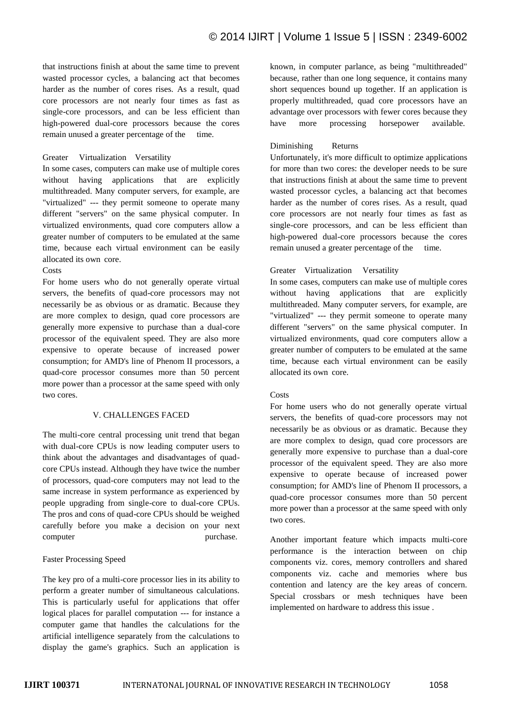that instructions finish at about the same time to prevent wasted processor cycles, a balancing act that becomes harder as the number of cores rises. As a result, quad core processors are not nearly four times as fast as single-core processors, and can be less efficient than high-powered dual-core processors because the cores remain unused a greater percentage of the time.

# Greater Virtualization Versatility

In some cases, computers can make use of multiple cores without having applications that are explicitly multithreaded. Many computer servers, for example, are "virtualized" --- they permit someone to operate many different "servers" on the same physical computer. In virtualized environments, quad core computers allow a greater number of computers to be emulated at the same time, because each virtual environment can be easily allocated its own core.

#### Costs

For home users who do not generally operate virtual servers, the benefits of quad-core processors may not necessarily be as obvious or as dramatic. Because they are more complex to design, quad core processors are generally more expensive to purchase than a dual-core processor of the equivalent speed. They are also more expensive to operate because of increased power consumption; for AMD's line of Phenom II processors, a quad-core processor consumes more than 50 percent more power than a processor at the same speed with only two cores.

#### V. CHALLENGES FACED

The multi-core central processing unit trend that began with dual-core CPUs is now leading computer users to think about the advantages and disadvantages of quadcore CPUs instead. Although they have twice the number of processors, quad-core computers may not lead to the same increase in system performance as experienced by people upgrading from single-core to dual-core CPUs. The pros and cons of quad-core CPUs should be weighed carefully before you make a decision on your next computer purchase.

#### Faster Processing Speed

The key pro of a multi-core processor lies in its ability to perform a greater number of simultaneous calculations. This is particularly useful for applications that offer logical places for parallel computation --- for instance a computer game that handles the calculations for the artificial intelligence separately from the calculations to display the game's graphics. Such an application is

known, in computer parlance, as being "multithreaded" because, rather than one long sequence, it contains many short sequences bound up together. If an application is properly multithreaded, quad core processors have an advantage over processors with fewer cores because they have more processing horsepower available.

# Diminishing Returns

Unfortunately, it's more difficult to optimize applications for more than two cores: the developer needs to be sure that instructions finish at about the same time to prevent wasted processor cycles, a balancing act that becomes harder as the number of cores rises. As a result, quad core processors are not nearly four times as fast as single-core processors, and can be less efficient than high-powered dual-core processors because the cores remain unused a greater percentage of the time.

# Greater Virtualization Versatility

In some cases, computers can make use of multiple cores without having applications that are explicitly multithreaded. Many computer servers, for example, are "virtualized" --- they permit someone to operate many different "servers" on the same physical computer. In virtualized environments, quad core computers allow a greater number of computers to be emulated at the same time, because each virtual environment can be easily allocated its own core.

### Costs

For home users who do not generally operate virtual servers, the benefits of quad-core processors may not necessarily be as obvious or as dramatic. Because they are more complex to design, quad core processors are generally more expensive to purchase than a dual-core processor of the equivalent speed. They are also more expensive to operate because of increased power consumption; for AMD's line of Phenom II processors, a quad-core processor consumes more than 50 percent more power than a processor at the same speed with only two cores.

Another important feature which impacts multi-core performance is the interaction between on chip components viz. cores, memory controllers and shared components viz. cache and memories where bus contention and latency are the key areas of concern. Special crossbars or mesh techniques have been implemented on hardware to address this issue .